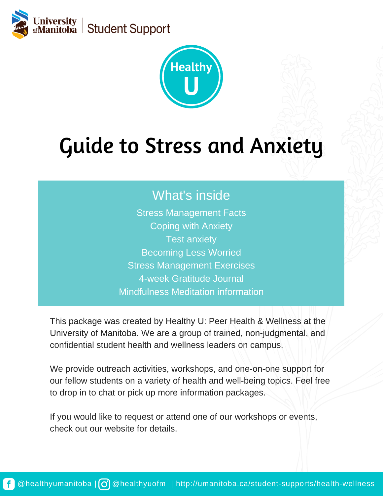



# Guide to Stress and Anxiety

### What's inside

Stress Management Facts Coping with Anxiety Test anxiety Becoming Less Worried Stress Management Exercises 4-week Gratitude Journal Mindfulness Meditation information

This package was created by Healthy U: Peer Health & Wellness at the University of Manitoba. We are a group of trained, non-judgmental, and confidential student health and wellness leaders on campus.

We provide outreach activities, workshops, and one-on-one support for our fellow students on a variety of health and well-being topics. Feel free to drop in to chat or pick up more information packages.

If you would like to request or attend one of our workshops or events, check out our website for details.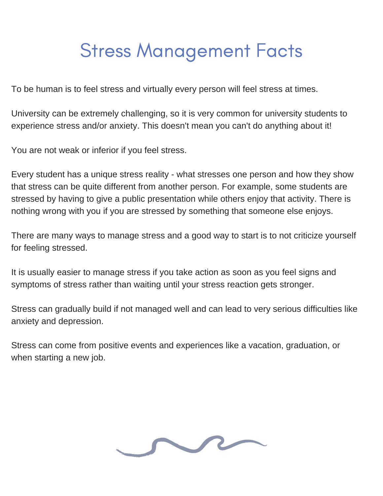## Stress Management Facts

To be human is to feel stress and virtually every person will feel stress at times.

University can be extremely challenging, so it is very common for university students to experience stress and/or anxiety. This doesn't mean you can't do anything about it!

You are not weak or inferior if you feel stress.

Every student has a unique stress reality - what stresses one person and how they show that stress can be quite different from another person. For example, some students are stressed by having to give a public presentation while others enjoy that activity. There is nothing wrong with you if you are stressed by something that someone else enjoys.

There are many ways to manage stress and a good way to start is to not criticize yourself for feeling stressed.

It is usually easier to manage stress if you take action as soon as you feel signs and symptoms of stress rather than waiting until your stress reaction gets stronger.

Stress can gradually build if not managed well and can lead to very serious difficulties like anxiety and depression.

Stress can come from positive events and experiences like a vacation, graduation, or when starting a new job.

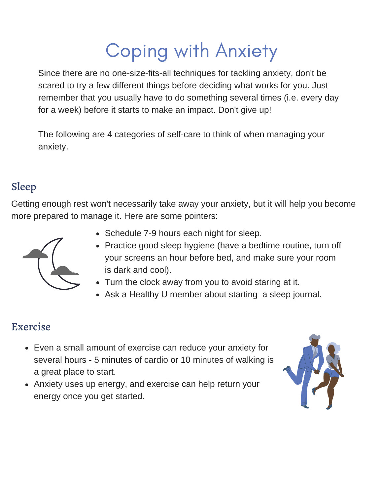## Coping with Anxiety

Since there are no one-size-fits-all techniques for tackling anxiety, don't be scared to try a few different things before deciding what works for you. Just remember that you usually have to do something several times (i.e. every day for a week) before it starts to make an impact. Don't give up!

The following are 4 categories of self-care to think of when managing your anxiety.

### Sleep

Getting enough rest won't necessarily take away your anxiety, but it will help you become more prepared to manage it. Here are some pointers:



- Schedule 7-9 hours each night for sleep.
- Practice good sleep hygiene (have a bedtime routine, turn off your screens an hour before bed, and make sure your room is dark and cool).
- Turn the clock away from you to avoid staring at it.
- Ask a Healthy U member about starting a sleep journal.

### Exercise

- Even a small amount of exercise can reduce your anxiety for several hours - 5 minutes of cardio or 10 minutes of walking is a great place to start.
- Anxiety uses up energy, and exercise can help return your energy once you get started.

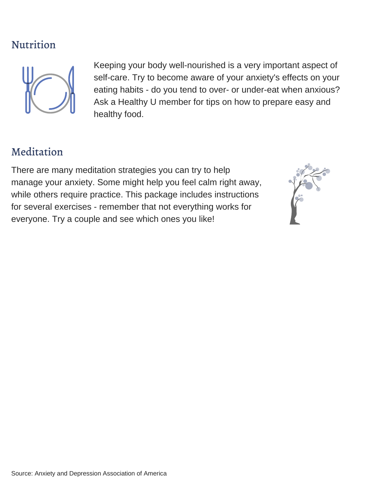### Nutrition



Keeping your body well-nourished is a very important aspect of self-care. Try to become aware of your anxiety's effects on your eating habits - do you tend to over- or under-eat when anxious? Ask a Healthy U member for tips on how to prepare easy and healthy food.

### Meditation

There are many meditation strategies you can try to help manage your anxiety. Some might help you feel calm right away, while others require practice. This package includes instructions for several exercises - remember that not everything works for everyone. Try a couple and see which ones you like!

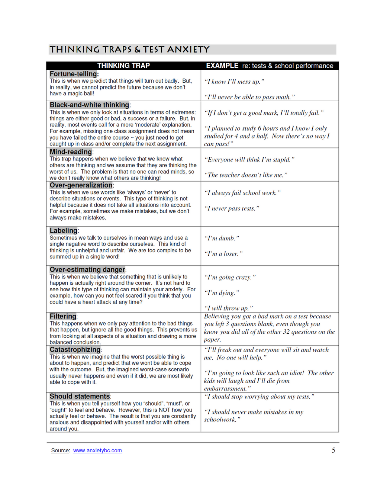#### THINKING TRAPS & TEST ANXIETY

| <b>THINKING TRAP</b>                                                                                                                                                                                                                                                                                                                                                                                                                   | <b>EXAMPLE</b> re: tests & school performance                                                                                                                                         |
|----------------------------------------------------------------------------------------------------------------------------------------------------------------------------------------------------------------------------------------------------------------------------------------------------------------------------------------------------------------------------------------------------------------------------------------|---------------------------------------------------------------------------------------------------------------------------------------------------------------------------------------|
| Fortune-telling:<br>This is when we predict that things will turn out badly. But,<br>in reality, we cannot predict the future because we don't<br>have a magic ball!                                                                                                                                                                                                                                                                   | "I know I'll mess up."<br>"I'll never be able to pass math."                                                                                                                          |
| <b>Black-and-white thinking:</b><br>This is when we only look at situations in terms of extremes:<br>things are either good or bad, a success or a failure. But, in<br>reality, most events call for a more 'moderate' explanation.<br>For example, missing one class assignment does not mean<br>you have failed the entire course ~ you just need to get<br>caught up in class and/or complete the next assignment.<br>Mind-reading: | "If I don't get a good mark, I'll totally fail."<br>"I planned to study 6 hours and I know I only<br>studied for 4 and a half. Now there's no way I<br>can pass!"                     |
| This trap happens when we believe that we know what<br>others are thinking and we assume that they are thinking the<br>worst of us. The problem is that no one can read minds, so<br>we don't really know what others are thinking!                                                                                                                                                                                                    | "Everyone will think I'm stupid."<br>"The teacher doesn't like me."                                                                                                                   |
| Over-generalization:<br>This is when we use words like 'always' or 'never' to<br>describe situations or events. This type of thinking is not<br>helpful because it does not take all situations into account.<br>For example, sometimes we make mistakes, but we don't<br>always make mistakes.                                                                                                                                        | "I always fail school work."<br>"I never pass tests."                                                                                                                                 |
| Labeling:<br>Sometimes we talk to ourselves in mean ways and use a<br>single negative word to describe ourselves. This kind of<br>thinking is unhelpful and unfair. We are too complex to be<br>summed up in a single word!                                                                                                                                                                                                            | " $Pm$ dumb."<br>"I'm a loser."                                                                                                                                                       |
| <b>Over-estimating danger:</b><br>This is when we believe that something that is unlikely to<br>happen is actually right around the corner. It's not hard to<br>see how this type of thinking can maintain your anxiety. For<br>example, how can you not feel scared if you think that you<br>could have a heart attack at any time?                                                                                                   | "I'm going crazy."<br>"I'm dying."<br>"I will throw up."                                                                                                                              |
| <b>Filtering:</b><br>This happens when we only pay attention to the bad things<br>that happen, but ignore all the good things. This prevents us<br>from looking at all aspects of a situation and drawing a more<br>balanced conclusion.                                                                                                                                                                                               | Believing you got a bad mark on a test because<br>you left 3 questions blank, even though you<br>know you did all of the other 32 questions on the<br>paper.                          |
| <b>Catastrophizing:</b><br>This is when we imagine that the worst possible thing is<br>about to happen, and predict that we wont be able to cope<br>with the outcome. But, the imagined worst-case scenario<br>usually never happens and even if it did, we are most likely<br>able to cope with it.                                                                                                                                   | "I'll freak out and everyone will sit and watch<br>me. No one will help."<br>"I'm going to look like such an idiot! The other<br>kids will laugh and I'll die from<br>embarrassment." |
| <b>Should statements:</b><br>This is when you tell yourself how you "should", "must", or<br>"ought" to feel and behave. However, this is NOT how you<br>actually feel or behave. The result is that you are constantly<br>anxious and disappointed with yourself and/or with others<br>around you.                                                                                                                                     | "I should stop worrying about my tests."<br>"I should never make mistakes in my<br>schoolwork."                                                                                       |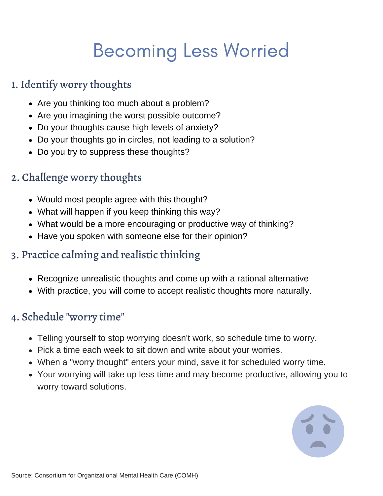## Becoming Less Worried

### 1. Identify worry thoughts

- Are you thinking too much about a problem?
- Are you imagining the worst possible outcome?
- Do your thoughts cause high levels of anxiety?
- Do your thoughts go in circles, not leading to a solution?
- Do you try to suppress these thoughts?

### 2. Challenge worry thoughts

- Would most people agree with this thought?
- What will happen if you keep thinking this way?
- What would be a more encouraging or productive way of thinking?
- Have you spoken with someone else for their opinion?

### 3. Practice calming and realistic thinking

- Recognize unrealistic thoughts and come up with a rational alternative
- With practice, you will come to accept realistic thoughts more naturally.

### 4. Schedule "worry time"

- Telling yourself to stop worrying doesn't work, so schedule time to worry.
- Pick a time each week to sit down and write about your worries.
- When a "worry thought" enters your mind, save it for scheduled worry time.
- Your worrying will take up less time and may become productive, allowing you to worry toward solutions.

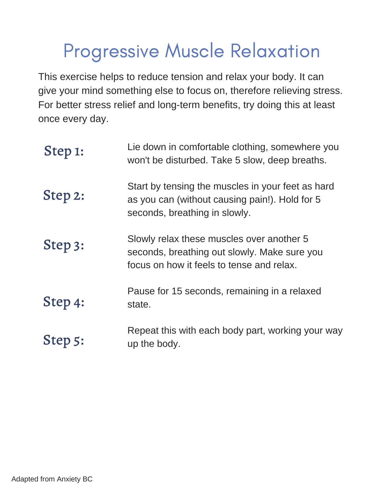## Progressive Muscle Relaxation

This exercise helps to reduce tension and relax your body. It can give your mind something else to focus on, therefore relieving stress. For better stress relief and long-term benefits, try doing this at least once every day.

| Step 1: | Lie down in comfortable clothing, somewhere you<br>won't be disturbed. Take 5 slow, deep breaths.                                      |
|---------|----------------------------------------------------------------------------------------------------------------------------------------|
| Step 2: | Start by tensing the muscles in your feet as hard<br>as you can (without causing pain!). Hold for 5<br>seconds, breathing in slowly.   |
| Step 3: | Slowly relax these muscles over another 5<br>seconds, breathing out slowly. Make sure you<br>focus on how it feels to tense and relax. |
| Step 4: | Pause for 15 seconds, remaining in a relaxed<br>state.                                                                                 |
| Step 5: | Repeat this with each body part, working your way<br>up the body.                                                                      |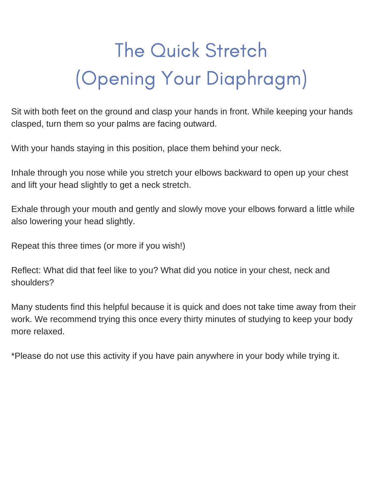# The Quick Stretch (Opening Your Diaphragm)

Sit with both feet on the ground and clasp your hands in front. While keeping your hands clasped, turn them so your palms are facing outward.

With your hands staying in this position, place them behind your neck.

Inhale through you nose while you stretch your elbows backward to open up your chest and lift your head slightly to get a neck stretch.

Exhale through your mouth and gently and slowly move your elbows forward a little while also lowering your head slightly.

Repeat this three times (or more if you wish!)

Reflect: What did that feel like to you? What did you notice in your chest, neck and shoulders?

Many students find this helpful because it is quick and does not take time away from their work. We recommend trying this once every thirty minutes of studying to keep your body more relaxed.

\*Please do not use this activity if you have pain anywhere in your body while trying it.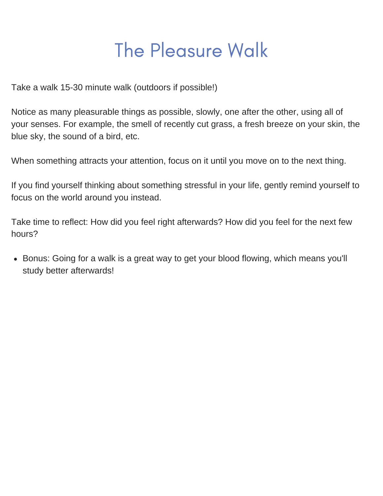## The Pleasure Walk

Take a walk 15-30 minute walk (outdoors if possible!)

Notice as many pleasurable things as possible, slowly, one after the other, using all of your senses. For example, the smell of recently cut grass, a fresh breeze on your skin, the blue sky, the sound of a bird, etc.

When something attracts your attention, focus on it until you move on to the next thing.

If you find yourself thinking about something stressful in your life, gently remind yourself to focus on the world around you instead.

Take time to reflect: How did you feel right afterwards? How did you feel for the next few hours?

• Bonus: Going for a walk is a great way to get your blood flowing, which means you'll study better afterwards!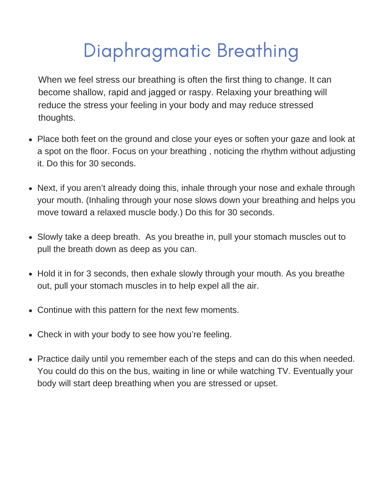## Diaphragmatic Breathing

When we feel stress our breathing is often the first thing to change. It can become shallow, rapid and jagged or raspy. Relaxing your breathing will reduce the stress your feeling in your body and may reduce stressed thoughts.

- Place both feet on the ground and close your eyes or soften your gaze and look at a spot on the floor. Focus on your breathing , noticing the rhythm without adjusting it. Do this for 30 seconds.
- Next, if you aren't already doing this, inhale through your nose and exhale through your mouth. (Inhaling through your nose slows down your breathing and helps you move toward a relaxed muscle body.) Do this for 30 seconds.
- Slowly take a deep breath. As you breathe in, pull your stomach muscles out to pull the breath down as deep as you can.
- Hold it in for 3 seconds, then exhale slowly through your mouth. As you breathe out, pull your stomach muscles in to help expel all the air.
- Continue with this pattern for the next few moments.
- Check in with your body to see how you're feeling.
- Practice daily until you remember each of the steps and can do this when needed. You could do this on the bus, waiting in line or while watching TV. Eventually your body will start deep breathing when you are stressed or upset.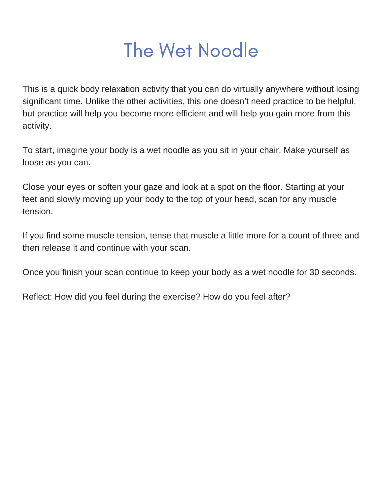## The Wet Noodle

This is a quick body relaxation activity that you can do virtually anywhere without losing significant time. Unlike the other activities, this one doesn't need practice to be helpful, but practice will help you become more efficient and will help you gain more from this activity.

To start, imagine your body is a wet noodle as you sit in your chair. Make yourself as loose as you can.

Close your eyes or soften your gaze and look at a spot on the floor. Starting at your feet and slowly moving up your body to the top of your head, scan for any muscle tension.

If you find some muscle tension, tense that muscle a little more for a count of three and then release it and continue with your scan.

Once you finish your scan continue to keep your body as a wet noodle for 30 seconds.

Reflect: How did you feel during the exercise? How do you feel after?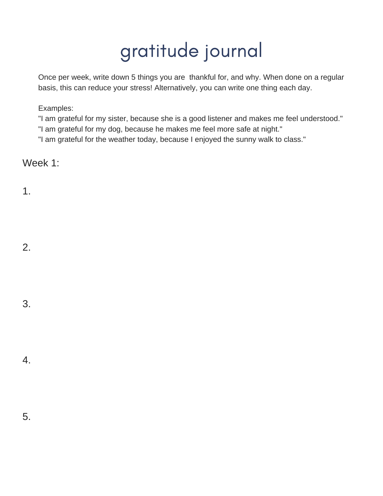Once per week, write down 5 things you are thankful for, and why. When done on a regular basis, this can reduce your stress! Alternatively, you can write one thing each day.

Examples:

"I am grateful for my sister, because she is a good listener and makes me feel understood."

"I am grateful for my dog, because he makes me feel more safe at night."

"I am grateful for the weather today, because I enjoyed the sunny walk to class."

Week 1:

1.

- 2.
- 3.

4.

5.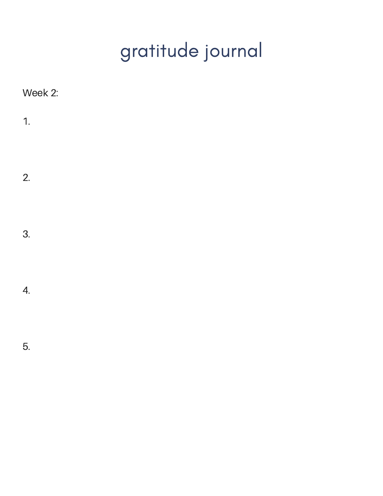| Week 2: |  |
|---------|--|
| 1.      |  |
|         |  |
| 2.      |  |
|         |  |
| 3.      |  |
|         |  |
| 4.      |  |
|         |  |
| 5.      |  |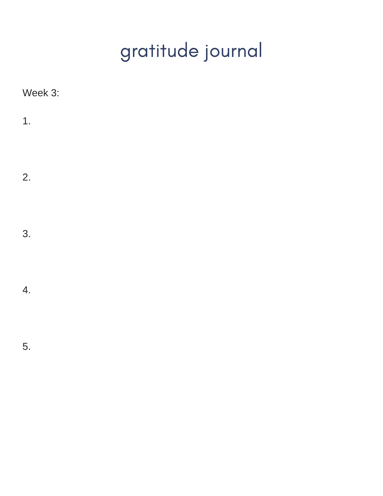| Week 3:          |  |
|------------------|--|
| 1.               |  |
| 2.               |  |
| 3.               |  |
| $\overline{4}$ . |  |
| 5.               |  |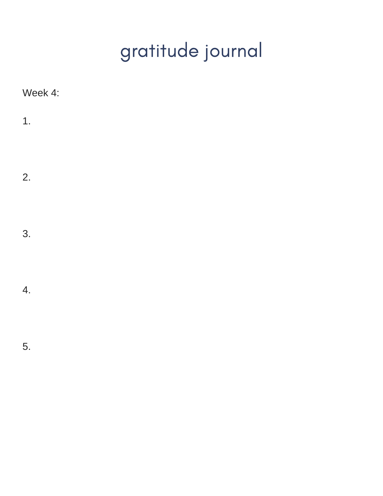| Week 4: |  |  |
|---------|--|--|
| 1.      |  |  |
| 2.      |  |  |
| 3.      |  |  |
| 4.      |  |  |
| 5.      |  |  |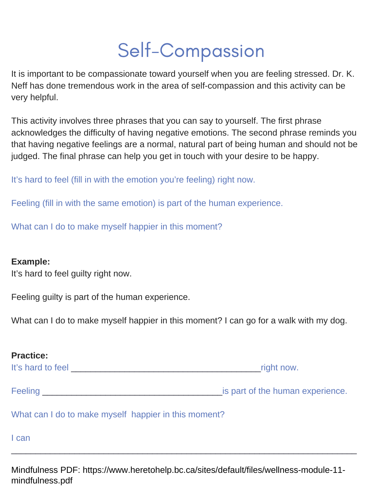## Self-Compassion

It is important to be compassionate toward yourself when you are feeling stressed. Dr. K. Neff has done tremendous work in the area of self-compassion and this activity can be very helpful.

This activity involves three phrases that you can say to yourself. The first phrase acknowledges the difficulty of having negative emotions. The second phrase reminds you that having negative feelings are a normal, natural part of being human and should not be judged. The final phrase can help you get in touch with your desire to be happy.

It's hard to feel (fill in with the emotion you're feeling) right now.

Feeling (fill in with the same emotion) is part of the human experience.

What can I do to make myself happier in this moment?

#### **Example:**

It's hard to feel guilty right now.

Feeling guilty is part of the human experience.

What can I do to make myself happier in this moment? I can go for a walk with my dog.

| <b>Practice:</b>                                     |                                  |
|------------------------------------------------------|----------------------------------|
| It's hard to feel                                    | right now.                       |
| <b>Feeling Example 2018</b>                          | is part of the human experience. |
| What can I do to make myself happier in this moment? |                                  |
| I can                                                |                                  |

Mindfulness PDF: https://www.heretohelp.bc.ca/sites/default/files/wellness-module-11 mindfulness.pdf